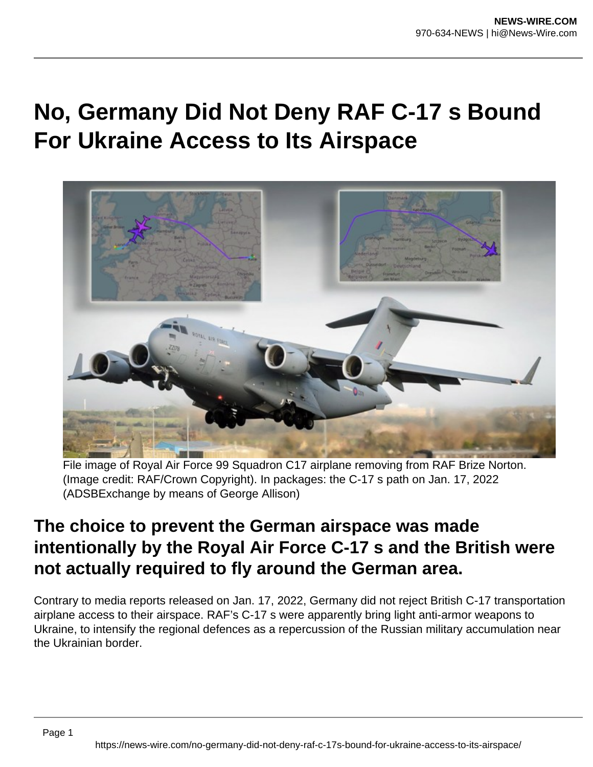## **No, Germany Did Not Deny RAF C-17 s Bound For Ukraine Access to Its Airspace**



File image of Royal Air Force 99 Squadron C17 airplane removing from RAF Brize Norton. (Image credit: RAF/Crown Copyright). In packages: the C-17 s path on Jan. 17, 2022 (ADSBExchange by means of George Allison)

## **The choice to prevent the German airspace was made intentionally by the Royal Air Force C-17 s and the British were not actually required to fly around the German area.**

Contrary to media reports released on Jan. 17, 2022, Germany did not reject British C-17 transportation airplane access to their airspace. RAF's C-17 s were apparently bring light anti-armor weapons to Ukraine, to intensify the regional defences as a repercussion of the Russian military accumulation near the Ukrainian border.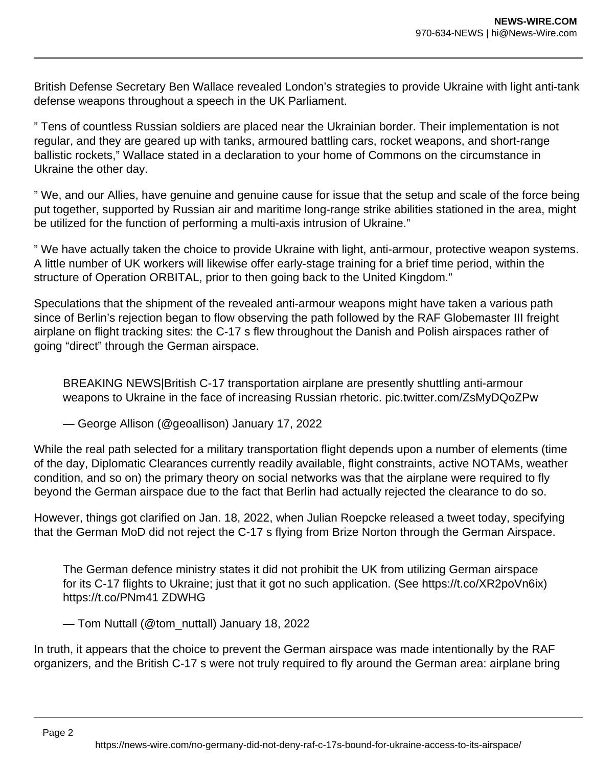British Defense Secretary Ben Wallace revealed London's strategies to provide Ukraine with light anti-tank defense weapons throughout a speech in the UK Parliament.

" Tens of countless Russian soldiers are placed near the Ukrainian border. Their implementation is not regular, and they are geared up with tanks, armoured battling cars, rocket weapons, and short-range ballistic rockets," Wallace stated in a declaration to your home of Commons on the circumstance in Ukraine the other day.

" We, and our Allies, have genuine and genuine cause for issue that the setup and scale of the force being put together, supported by Russian air and maritime long-range strike abilities stationed in the area, might be utilized for the function of performing a multi-axis intrusion of Ukraine."

" We have actually taken the choice to provide Ukraine with light, anti-armour, protective weapon systems. A little number of UK workers will likewise offer early-stage training for a brief time period, within the structure of Operation ORBITAL, prior to then going back to the United Kingdom."

Speculations that the shipment of the revealed anti-armour weapons might have taken a various path since of Berlin's rejection began to flow observing the path followed by the RAF Globemaster III freight airplane on flight tracking sites: the C-17 s flew throughout the Danish and Polish airspaces rather of going "direct" through the German airspace.

BREAKING NEWS|British C-17 transportation airplane are presently shuttling anti-armour weapons to Ukraine in the face of increasing Russian rhetoric. pic.twitter.com/ZsMyDQoZPw

— George Allison (@geoallison) January 17, 2022

While the real path selected for a military transportation flight depends upon a number of elements (time of the day, Diplomatic Clearances currently readily available, flight constraints, active NOTAMs, weather condition, and so on) the primary theory on social networks was that the airplane were required to fly beyond the German airspace due to the fact that Berlin had actually rejected the clearance to do so.

However, things got clarified on Jan. 18, 2022, when Julian Roepcke released a tweet today, specifying that the German MoD did not reject the C-17 s flying from Brize Norton through the German Airspace.

The German defence ministry states it did not prohibit the UK from utilizing German airspace for its C-17 flights to Ukraine; just that it got no such application. (See https://t.co/XR2poVn6ix) https://t.co/PNm41 ZDWHG

— Tom Nuttall (@tom\_nuttall) January 18, 2022

In truth, it appears that the choice to prevent the German airspace was made intentionally by the RAF organizers, and the British C-17 s were not truly required to fly around the German area: airplane bring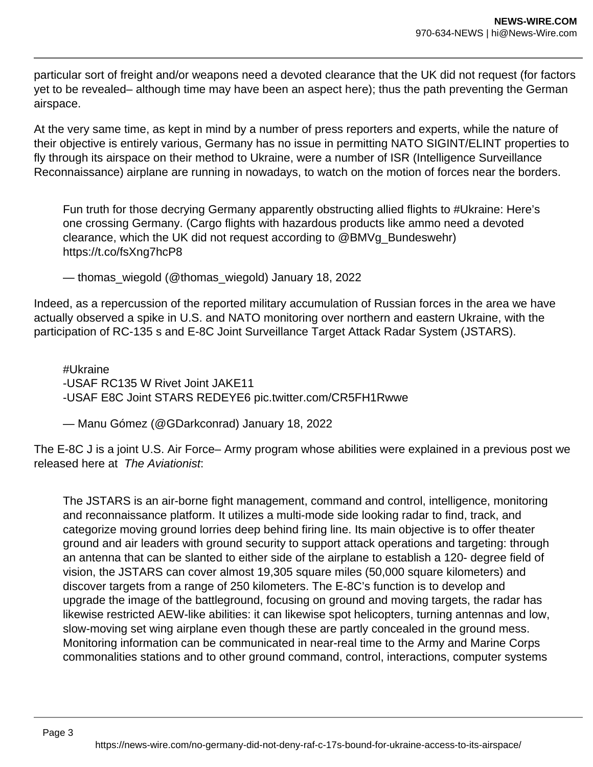particular sort of freight and/or weapons need a devoted clearance that the UK did not request (for factors yet to be revealed– although time may have been an aspect here); thus the path preventing the German airspace.

At the very same time, as kept in mind by a number of press reporters and experts, while the nature of their objective is entirely various, Germany has no issue in permitting NATO SIGINT/ELINT properties to fly through its airspace on their method to Ukraine, were a number of ISR (Intelligence Surveillance Reconnaissance) airplane are running in nowadays, to watch on the motion of forces near the borders.

Fun truth for those decrying Germany apparently obstructing allied flights to #Ukraine: Here's one crossing Germany. (Cargo flights with hazardous products like ammo need a devoted clearance, which the UK did not request according to @BMVg\_Bundeswehr) https://t.co/fsXng7hcP8

— thomas\_wiegold (@thomas\_wiegold) January 18, 2022

Indeed, as a repercussion of the reported military accumulation of Russian forces in the area we have actually observed a spike in U.S. and NATO monitoring over northern and eastern Ukraine, with the participation of RC-135 s and E-8C Joint Surveillance Target Attack Radar System (JSTARS).

#Ukraine -USAF RC135 W Rivet Joint JAKE11 -USAF E8C Joint STARS REDEYE6 pic.twitter.com/CR5FH1Rwwe

— Manu Gómez (@GDarkconrad) January 18, 2022

The E-8C J is a joint U.S. Air Force– Army program whose abilities were explained in a previous post we released here at The Aviationist:

The JSTARS is an air-borne fight management, command and control, intelligence, monitoring and reconnaissance platform. It utilizes a multi-mode side looking radar to find, track, and categorize moving ground lorries deep behind firing line. Its main objective is to offer theater ground and air leaders with ground security to support attack operations and targeting: through an antenna that can be slanted to either side of the airplane to establish a 120- degree field of vision, the JSTARS can cover almost 19,305 square miles (50,000 square kilometers) and discover targets from a range of 250 kilometers. The E-8C's function is to develop and upgrade the image of the battleground, focusing on ground and moving targets, the radar has likewise restricted AEW-like abilities: it can likewise spot helicopters, turning antennas and low, slow-moving set wing airplane even though these are partly concealed in the ground mess. Monitoring information can be communicated in near-real time to the Army and Marine Corps commonalities stations and to other ground command, control, interactions, computer systems